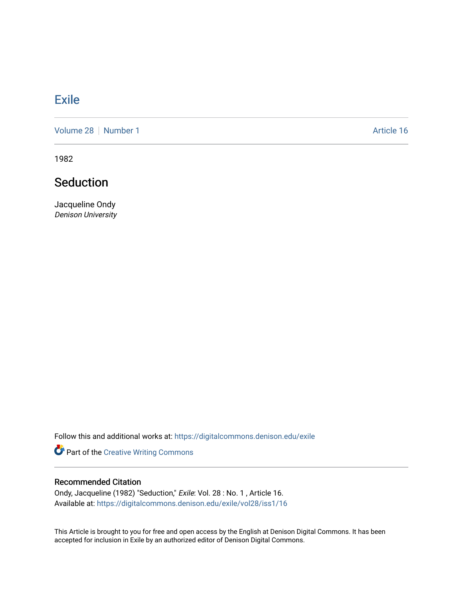### **[Exile](https://digitalcommons.denison.edu/exile)**

[Volume 28](https://digitalcommons.denison.edu/exile/vol28) [Number 1](https://digitalcommons.denison.edu/exile/vol28/iss1) Article 16

1982

## Seduction

Jacqueline Ondy Denison University

Follow this and additional works at: [https://digitalcommons.denison.edu/exile](https://digitalcommons.denison.edu/exile?utm_source=digitalcommons.denison.edu%2Fexile%2Fvol28%2Fiss1%2F16&utm_medium=PDF&utm_campaign=PDFCoverPages) 

Part of the [Creative Writing Commons](http://network.bepress.com/hgg/discipline/574?utm_source=digitalcommons.denison.edu%2Fexile%2Fvol28%2Fiss1%2F16&utm_medium=PDF&utm_campaign=PDFCoverPages) 

#### Recommended Citation

Ondy, Jacqueline (1982) "Seduction," Exile: Vol. 28 : No. 1 , Article 16. Available at: [https://digitalcommons.denison.edu/exile/vol28/iss1/16](https://digitalcommons.denison.edu/exile/vol28/iss1/16?utm_source=digitalcommons.denison.edu%2Fexile%2Fvol28%2Fiss1%2F16&utm_medium=PDF&utm_campaign=PDFCoverPages)

This Article is brought to you for free and open access by the English at Denison Digital Commons. It has been accepted for inclusion in Exile by an authorized editor of Denison Digital Commons.